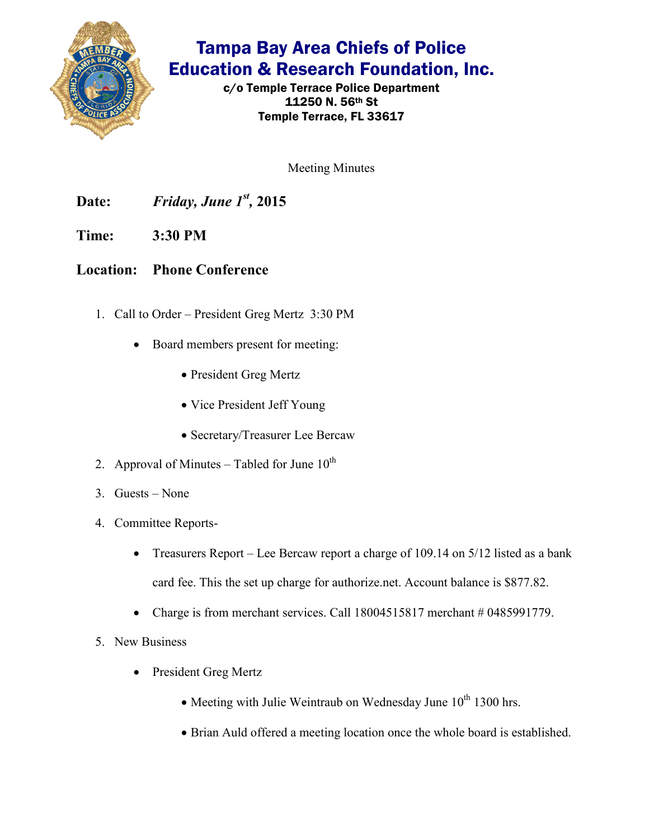

## Tampa Bay Area Chiefs of Police Education & Research Foundation, Inc.

c/o Temple Terrace Police Department 11250 N. 56th St Temple Terrace, FL 33617

Meeting Minutes

**Date:** *Friday, June 1st ,* **2015** 

**Time: 3:30 PM** 

**Location: Phone Conference**

- 1. Call to Order President Greg Mertz 3:30 PM
	- Board members present for meeting:
		- President Greg Mertz
		- Vice President Jeff Young
		- Secretary/Treasurer Lee Bercaw
- 2. Approval of Minutes Tabled for June  $10^{th}$
- 3. Guests None
- 4. Committee Reports-
	- Treasurers Report Lee Bercaw report a charge of 109.14 on 5/12 listed as a bank card fee. This the set up charge for authorize.net. Account balance is \$877.82.
	- Charge is from merchant services. Call  $18004515817$  merchant  $\#0485991779$ .
- 5. New Business
	- President Greg Mertz
		- Meeting with Julie Weintraub on Wednesday June  $10^{th}$  1300 hrs.
		- Brian Auld offered a meeting location once the whole board is established.